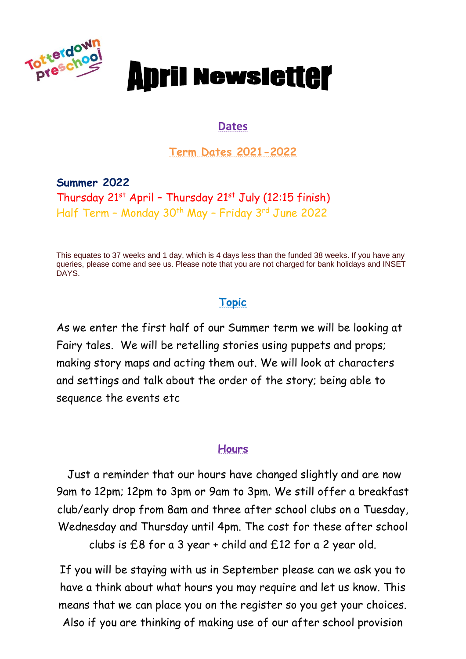

# **Anril Newsletter**

#### **Dates**

**Term Dates 2021-2022**

**Summer 2022** Thursday  $21^{st}$  April - Thursday  $21^{st}$  July (12:15 finish) Half Term - Monday 30<sup>th</sup> May - Friday 3<sup>rd</sup> June 2022

This equates to 37 weeks and 1 day, which is 4 days less than the funded 38 weeks. If you have any queries, please come and see us. Please note that you are not charged for bank holidays and INSET DAYS.

#### **Topic**

As we enter the first half of our Summer term we will be looking at Fairy tales. We will be retelling stories using puppets and props; making story maps and acting them out. We will look at characters and settings and talk about the order of the story; being able to sequence the events etc

#### **Hours**

Just a reminder that our hours have changed slightly and are now 9am to 12pm; 12pm to 3pm or 9am to 3pm. We still offer a breakfast club/early drop from 8am and three after school clubs on a Tuesday, Wednesday and Thursday until 4pm. The cost for these after school clubs is £8 for a 3 year + child and £12 for a 2 year old.

If you will be staying with us in September please can we ask you to have a think about what hours you may require and let us know. This means that we can place you on the register so you get your choices. Also if you are thinking of making use of our after school provision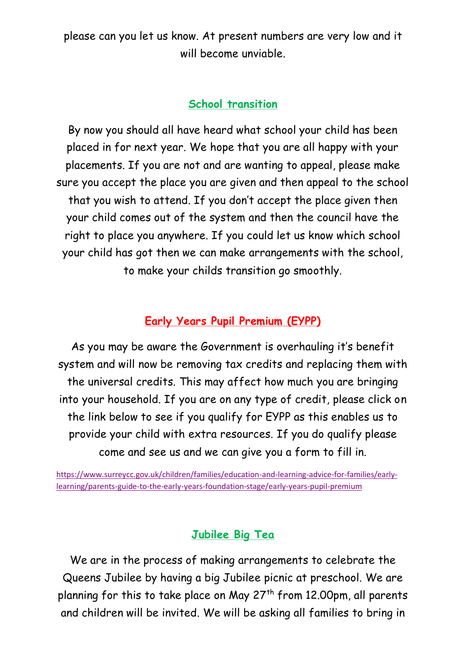please can you let us know. At present numbers are very low and it will become unviable.

#### **School transition**

By now you should all have heard what school your child has been placed in for next year. We hope that you are all happy with your placements. If you are not and are wanting to appeal, please make sure you accept the place you are given and then appeal to the school that you wish to attend. If you don't accept the place given then your child comes out of the system and then the council have the right to place you anywhere. If you could let us know which school your child has got then we can make arrangements with the school, to make your childs transition go smoothly.

#### **Early Years Pupil Premium (EYPP)**

As you may be aware the Government is overhauling it's benefit system and will now be removing tax credits and replacing them with the universal credits. This may affect how much you are bringing into your household. If you are on any type of credit, please click on the link below to see if you qualify for EYPP as this enables us to provide your child with extra resources. If you do qualify please come and see us and we can give you a form to fill in.

[https://www.surreycc.gov.uk/children/families/education-and-learning-advice-for-families/early](https://www.surreycc.gov.uk/children/families/education-and-learning-advice-for-families/early-learning/parents-guide-to-the-early-years-foundation-stage/early-years-pupil-premium)[learning/parents-guide-to-the-early-years-foundation-stage/early-years-pupil-premium](https://www.surreycc.gov.uk/children/families/education-and-learning-advice-for-families/early-learning/parents-guide-to-the-early-years-foundation-stage/early-years-pupil-premium)

### **Jubilee Big Tea**

We are in the process of making arrangements to celebrate the Queens Jubilee by having a big Jubilee picnic at preschool. We are planning for this to take place on May  $27<sup>th</sup>$  from 12.00pm, all parents and children will be invited. We will be asking all families to bring in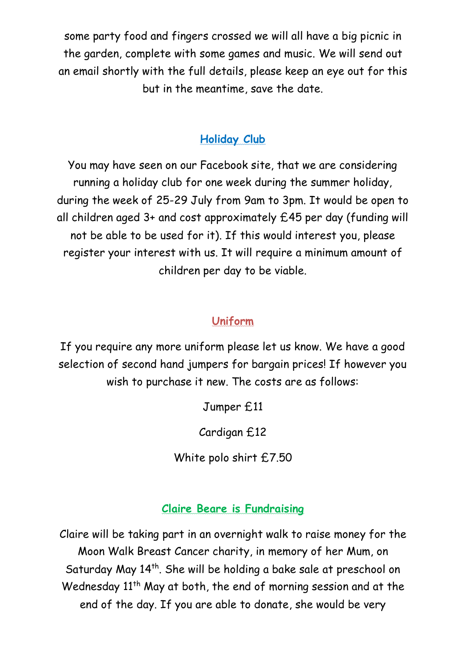some party food and fingers crossed we will all have a big picnic in the garden, complete with some games and music. We will send out an email shortly with the full details, please keep an eye out for this but in the meantime, save the date.

# **Holiday Club**

You may have seen on our Facebook site, that we are considering running a holiday club for one week during the summer holiday, during the week of 25-29 July from 9am to 3pm. It would be open to all children aged 3+ and cost approximately £45 per day (funding will not be able to be used for it). If this would interest you, please register your interest with us. It will require a minimum amount of children per day to be viable.

## **Uniform**

If you require any more uniform please let us know. We have a good selection of second hand jumpers for bargain prices! If however you wish to purchase it new. The costs are as follows:

Jumper £11

Cardigan £12

White polo shirt £7.50

## **Claire Beare is Fundraising**

Claire will be taking part in an overnight walk to raise money for the Moon Walk Breast Cancer charity, in memory of her Mum, on Saturday May 14<sup>th</sup>. She will be holding a bake sale at preschool on Wednesday 11<sup>th</sup> May at both, the end of morning session and at the end of the day. If you are able to donate, she would be very